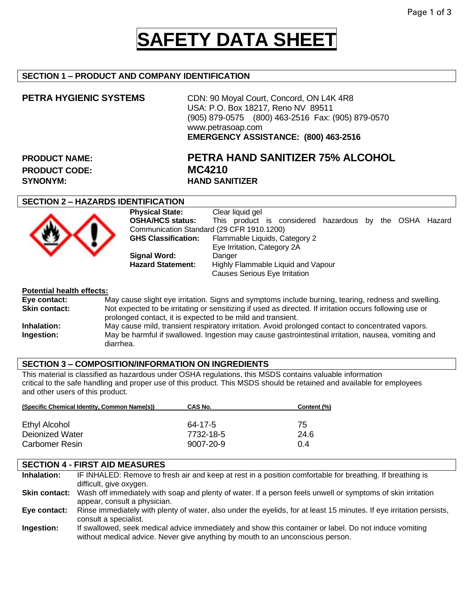## **SAFETY DATA SHEET**

#### **SECTION 1 – PRODUCT AND COMPANY IDENTIFICATION**

**PETRA HYGIENIC SYSTEMS** CDN: 90 Moyal Court, Concord, ON L4K 4R8 USA: P.O. Box 18217, Reno NV 89511 (905) 879-0575 (800) 463-2516 Fax: (905) 879-0570 www.petrasoap.com **EMERGENCY ASSISTANCE: (800) 463-2516**

PRODUCT CODE: MC4210 **SYNONYM: HAND SANITIZER**

# **PRODUCT NAME: PETRA HAND SANITIZER 75% ALCOHOL**

#### **SECTION 2 – HAZARDS IDENTIFICATION**



| <b>Physical State:</b>                    | Clear liquid gel                                        |
|-------------------------------------------|---------------------------------------------------------|
| <b>OSHA/HCS status:</b>                   | This product is considered hazardous by the OSHA Hazard |
| Communication Standard (29 CFR 1910.1200) |                                                         |
| <b>GHS Classification:</b>                | Flammable Liquids, Category 2                           |
|                                           | Eye Irritation, Category 2A                             |
| <b>Signal Word:</b>                       | Danger                                                  |
| <b>Hazard Statement:</b>                  | Highly Flammable Liquid and Vapour                      |
|                                           | <b>Causes Serious Eye Irritation</b>                    |
|                                           |                                                         |

#### **Potential health effects:**

**Eye contact:** May cause slight eye irritation. Signs and symptoms include burning, tearing, redness and swelling.<br> **Skin contact:** Not expected to be irritating or sensitizing if used as directed. If irritation occurs fol **Skin contact:** Not expected to be irritating or sensitizing if used as directed. If irritation occurs following use or prolonged contact, it is expected to be mild and transient. **Inhalation:** May cause mild, transient respiratory irritation. Avoid prolonged contact to concentrated vapors. **Ingestion:** May be harmful if swallowed. Ingestion may cause gastrointestinal irritation, nausea, vomiting and diarrhea.

#### **SECTION 3 – COMPOSITION/INFORMATION ON INGREDIENTS**

This material is classified as hazardous under OSHA regulations, this MSDS contains valuable information critical to the safe handling and proper use of this product. This MSDS should be retained and available for employees and other users of this product.

| (Specific Chemical Identity, Common Name(s)) | CAS No.         | Content (%) |
|----------------------------------------------|-----------------|-------------|
| Ethyl Alcohol                                | 64-17-5         | 75          |
| Dejonized Water                              | 7732-18-5       | 24.6        |
| <b>Carbomer Resin</b>                        | $9007 - 20 - 9$ | 0.4         |

#### **SECTION 4 - FIRST AID MEASURES**

**Inhalation:** IF INHALED: Remove to fresh air and keep at rest in a position comfortable for breathing. If breathing is difficult, give oxygen. **Skin contact:** Wash off immediately with soap and plenty of water. If a person feels unwell or symptoms of skin irritation appear, consult a physician. **Eye contact:** Rinse immediately with plenty of water, also under the eyelids, for at least 15 minutes. If eye irritation persists, consult a specialist. **Ingestion:** If swallowed, seek medical advice immediately and show this container or label. Do not induce vomiting without medical advice. Never give anything by mouth to an unconscious person.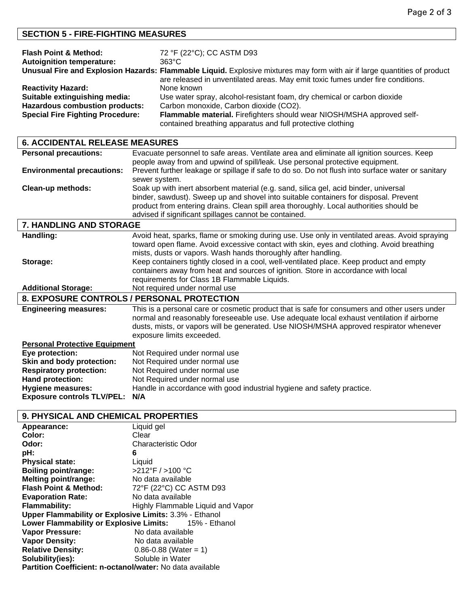### **SECTION 5 - FIRE-FIGHTING MEASURES**

| <b>Flash Point &amp; Method:</b>        | 72 °F (22°C); CC ASTM D93                                                                                                 |
|-----------------------------------------|---------------------------------------------------------------------------------------------------------------------------|
| <b>Autoignition temperature:</b>        | $363^{\circ}$ C                                                                                                           |
|                                         | Unusual Fire and Explosion Hazards: Flammable Liquid. Explosive mixtures may form with air if large quantities of product |
|                                         | are released in unventilated areas. May emit toxic fumes under fire conditions.                                           |
| <b>Reactivity Hazard:</b>               | None known                                                                                                                |
| Suitable extinguishing media:           | Use water spray, alcohol-resistant foam, dry chemical or carbon dioxide                                                   |
| <b>Hazardous combustion products:</b>   | Carbon monoxide, Carbon dioxide (CO2).                                                                                    |
| <b>Special Fire Fighting Procedure:</b> | Flammable material. Firefighters should wear NIOSH/MSHA approved self-                                                    |
|                                         | contained breathing apparatus and full protective clothing                                                                |

| <b>6. ACCIDENTAL RELEASE MEASURES</b> |                                                                                                   |
|---------------------------------------|---------------------------------------------------------------------------------------------------|
| <b>Personal precautions:</b>          | Evacuate personnel to safe areas. Ventilate area and eliminate all ignition sources. Keep         |
|                                       | people away from and upwind of spill/leak. Use personal protective equipment.                     |
| <b>Environmental precautions:</b>     | Prevent further leakage or spillage if safe to do so. Do not flush into surface water or sanitary |
|                                       | sewer system.                                                                                     |
| Clean-up methods:                     | Soak up with inert absorbent material (e.g. sand, silica gel, acid binder, universal              |
|                                       | binder, sawdust). Sweep up and shovel into suitable containers for disposal. Prevent              |
|                                       | product from entering drains. Clean spill area thoroughly. Local authorities should be            |
|                                       | advised if significant spillages cannot be contained.                                             |
| 7. HANDLING AND STORAGE               |                                                                                                   |
| Handling:                             | Avoid heat, sparks, flame or smoking during use. Use only in ventilated areas. Avoid spraying     |
|                                       | toward open flame. Avoid excessive contact with skin, eyes and clothing. Avoid breathing          |
|                                       | mists, dusts or vapors. Wash hands thoroughly after handling.                                     |
| Storage:                              | Keep containers tightly closed in a cool, well-ventilated place. Keep product and empty           |
|                                       | containers away from heat and sources of ignition. Store in accordance with local                 |
|                                       | requirements for Class 1B Flammable Liquids.                                                      |
| <b>Additional Storage:</b>            | Not required under normal use                                                                     |
|                                       | 8. EXPOSURE CONTROLS / PERSONAL PROTECTION                                                        |
| <b>Engineering measures:</b>          | This is a personal care or cosmetic product that is safe for consumers and other users under      |
|                                       | normal and reasonably foreseeable use. Use adequate local exhaust ventilation if airborne         |
|                                       | dusts, mists, or vapors will be generated. Use NIOSH/MSHA approved respirator whenever            |
|                                       | exposure limits exceeded.                                                                         |
| <b>Personal Protective Equipment</b>  |                                                                                                   |
| Eye protection:                       | Not Required under normal use                                                                     |
| Skin and body protection:             | Not Required under normal use                                                                     |
| <b>Respiratory protection:</b>        | Not Required under normal use                                                                     |
| Hand protection:                      | Not Required under normal use                                                                     |
| <b>Hygiene measures:</b>              | Handle in accordance with good industrial hygiene and safety practice.                            |
| <b>Exposure controls TLV/PEL:</b>     | N/A                                                                                               |

### **9. PHYSICAL AND CHEMICAL PROPERTIES**

| Appearance:                                               | Liquid gel                          |
|-----------------------------------------------------------|-------------------------------------|
| Color:                                                    | Clear                               |
| Odor:                                                     | Characteristic Odor                 |
| pH:                                                       | 6                                   |
| <b>Physical state:</b>                                    | Liquid                              |
| <b>Boiling point/range:</b>                               | $>212^{\circ}$ F / $>100^{\circ}$ C |
| <b>Melting point/range:</b>                               | No data available                   |
| <b>Flash Point &amp; Method:</b>                          | 72°F (22°C) CC ASTM D93             |
| <b>Evaporation Rate:</b>                                  | No data available                   |
| <b>Flammability:</b>                                      | Highly Flammable Liquid and Vapor   |
| Upper Flammability or Explosive Limits: 3.3% - Ethanol    |                                     |
| Lower Flammability or Explosive Limits: 15% - Ethanol     |                                     |
| Vapor Pressure:                                           | No data available                   |
| <b>Vapor Density:</b>                                     | No data available                   |
| <b>Relative Density:</b>                                  | $0.86 - 0.88$ (Water = 1)           |
| Solubility(ies):                                          | Soluble in Water                    |
| Partition Coefficient: n-octanol/water: No data available |                                     |